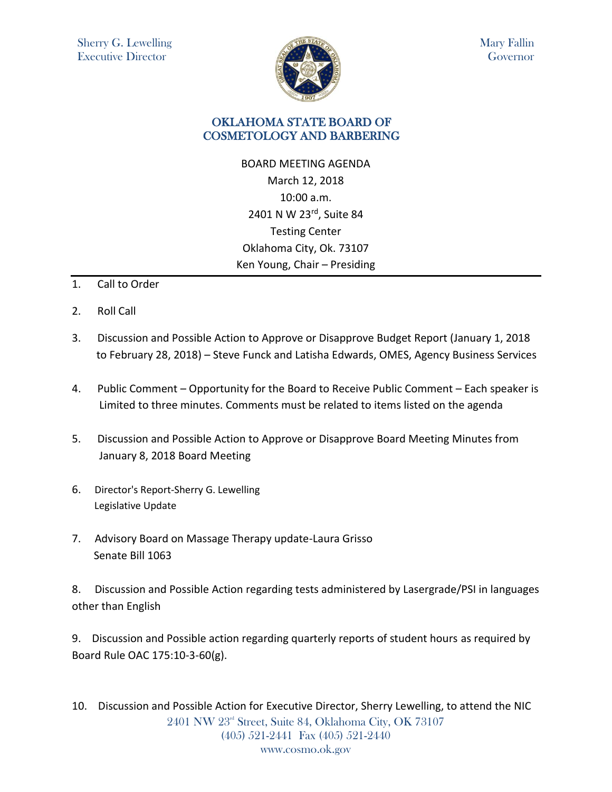

Mary Fallin Governor

## OKLAHOMA STATE BOARD OF COSMETOLOGY AND BARBERING

BOARD MEETING AGENDA March 12, 2018 10:00 a.m. 2401 N W 23rd, Suite 84 Testing Center Oklahoma City, Ok. 73107 Ken Young, Chair – Presiding

- 1. Call to Order
- 2. Roll Call
- 3. Discussion and Possible Action to Approve or Disapprove Budget Report (January 1, 2018 to February 28, 2018) – Steve Funck and Latisha Edwards, OMES, Agency Business Services
- 4. Public Comment Opportunity for the Board to Receive Public Comment Each speaker is Limited to three minutes. Comments must be related to items listed on the agenda
- 5. Discussion and Possible Action to Approve or Disapprove Board Meeting Minutes from January 8, 2018 Board Meeting
- 6. Director's Report-Sherry G. Lewelling Legislative Update
- 7. Advisory Board on Massage Therapy update-Laura Grisso Senate Bill 1063

8. Discussion and Possible Action regarding tests administered by Lasergrade/PSI in languages other than English

9. Discussion and Possible action regarding quarterly reports of student hours as required by Board Rule OAC 175:10-3-60(g).

2401 NW 23rd Street, Suite 84, Oklahoma City, OK 73107 (405) 521-2441 Fax (405) 521-2440 www.cosmo.ok.gov 10. Discussion and Possible Action for Executive Director, Sherry Lewelling, to attend the NIC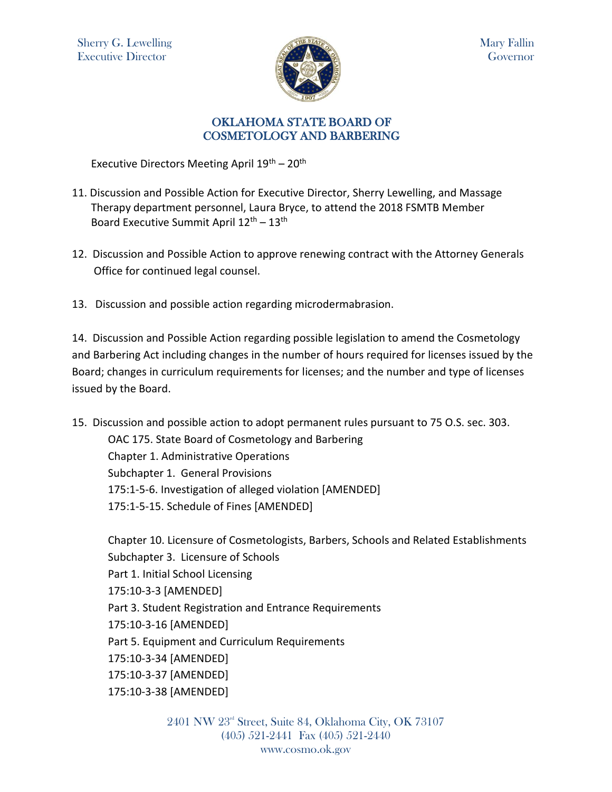

## OKLAHOMA STATE BOARD OF COSMETOLOGY AND BARBERING

Executive Directors Meeting April 19th – 20th

- 11. Discussion and Possible Action for Executive Director, Sherry Lewelling, and Massage Therapy department personnel, Laura Bryce, to attend the 2018 FSMTB Member Board Executive Summit April 12<sup>th</sup> – 13<sup>th</sup>
- 12. Discussion and Possible Action to approve renewing contract with the Attorney Generals Office for continued legal counsel.
- 13. Discussion and possible action regarding microdermabrasion.

14. Discussion and Possible Action regarding possible legislation to amend the Cosmetology and Barbering Act including changes in the number of hours required for licenses issued by the Board; changes in curriculum requirements for licenses; and the number and type of licenses issued by the Board.

15. Discussion and possible action to adopt permanent rules pursuant to 75 O.S. sec. 303.

OAC 175. State Board of Cosmetology and Barbering Chapter 1. Administrative Operations Subchapter 1. General Provisions 175:1-5-6. Investigation of alleged violation [AMENDED] 175:1-5-15. Schedule of Fines [AMENDED]

Chapter 10. Licensure of Cosmetologists, Barbers, Schools and Related Establishments Subchapter 3. Licensure of Schools Part 1. Initial School Licensing 175:10-3-3 [AMENDED] Part 3. Student Registration and Entrance Requirements 175:10-3-16 [AMENDED] Part 5. Equipment and Curriculum Requirements 175:10-3-34 [AMENDED] 175:10-3-37 [AMENDED] 175:10-3-38 [AMENDED]

> 2401 NW 23<sup>rd</sup> Street, Suite 84, Oklahoma City, OK 73107 (405) 521-2441 Fax (405) 521-2440 www.cosmo.ok.gov